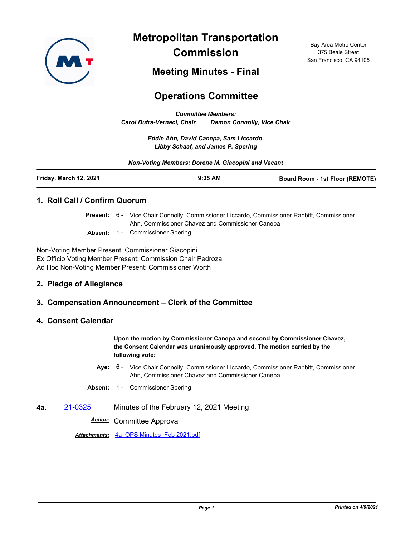

**Metropolitan Transportation Commission**

Bay Area Metro Center 375 Beale Street San Francisco, CA 94105

# **Meeting Minutes - Final**

# **Operations Committee**

*Committee Members: Carol Dutra-Vernaci, Chair Damon Connolly, Vice Chair*

> *Eddie Ahn, David Canepa, Sam Liccardo, Libby Schaaf, and James P. Spering*

*Non-Voting Members: Dorene M. Giacopini and Vacant*

| Friday, March 12, 2021 | $9:35$ AM | <b>Board Room - 1st Floor (REMOTE)</b> |
|------------------------|-----------|----------------------------------------|
|                        |           |                                        |

### **1. Roll Call / Confirm Quorum**

Present: 6 - Vice Chair Connolly, Commissioner Liccardo, Commissioner Rabbitt, Commissioner Ahn, Commissioner Chavez and Commissioner Canepa

Absent: 1 - Commissioner Spering

Non-Voting Member Present: Commissioner Giacopini Ex Officio Voting Member Present: Commission Chair Pedroza Ad Hoc Non-Voting Member Present: Commissioner Worth

# **2. Pledge of Allegiance**

# **3. Compensation Announcement – Clerk of the Committee**

### **4. Consent Calendar**

**Upon the motion by Commissioner Canepa and second by Commissioner Chavez, the Consent Calendar was unanimously approved. The motion carried by the following vote:**

- Aye: 6 Vice Chair Connolly, Commissioner Liccardo, Commissioner Rabbitt, Commissioner Ahn, Commissioner Chavez and Commissioner Canepa
- **Absent:** 1 Commissioner Spering
- **4a.** [21-0325](http://mtc.legistar.com/gateway.aspx?m=l&id=/matter.aspx?key=21918) Minutes of the February 12, 2021 Meeting

*Action:* Committee Approval

*Attachments:* [4a\\_OPS Minutes\\_Feb 2021.pdf](http://mtc.legistar.com/gateway.aspx?M=F&ID=a1e55bb7-b1ef-4e0d-8245-7b297f35bbfc.pdf)